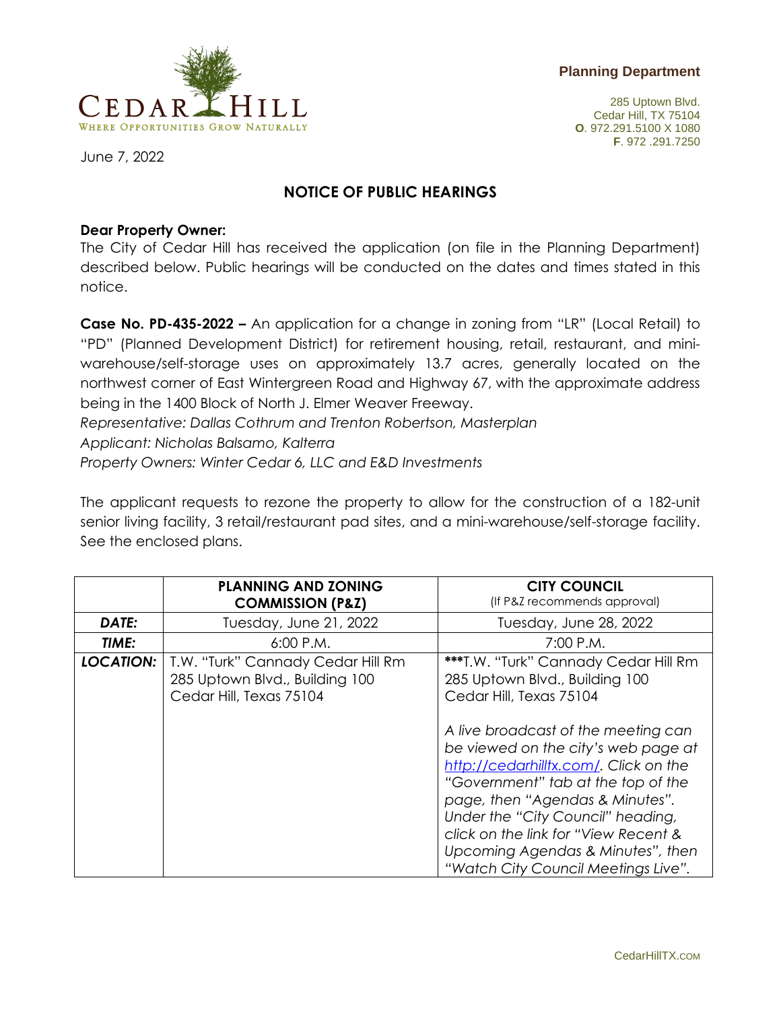



 285 Uptown Blvd. Cedar Hill, TX 75104 **O**. 972.291.5100 X 1080 **F**. 972 .291.7250

June 7, 2022

## **NOTICE OF PUBLIC HEARINGS**

## **Dear Property Owner:**

The City of Cedar Hill has received the application (on file in the Planning Department) described below. Public hearings will be conducted on the dates and times stated in this notice.

**Case No. PD-435-2022 –** An application for a change in zoning from "LR" (Local Retail) to "PD" (Planned Development District) for retirement housing, retail, restaurant, and miniwarehouse/self-storage uses on approximately 13.7 acres, generally located on the northwest corner of East Wintergreen Road and Highway 67, with the approximate address being in the 1400 Block of North J. Elmer Weaver Freeway.

*Representative: Dallas Cothrum and Trenton Robertson, Masterplan*

*Applicant: Nicholas Balsamo, Kalterra*

*Property Owners: Winter Cedar 6, LLC and E&D Investments*

The applicant requests to rezone the property to allow for the construction of a 182-unit senior living facility, 3 retail/restaurant pad sites, and a mini-warehouse/self-storage facility. See the enclosed plans.

|                  | <b>PLANNING AND ZONING</b><br><b>COMMISSION (P&amp;Z)</b>                                      | <b>CITY COUNCIL</b><br>(If P&Z recommends approval)                                                                                                                                                                                                                                                                                                   |
|------------------|------------------------------------------------------------------------------------------------|-------------------------------------------------------------------------------------------------------------------------------------------------------------------------------------------------------------------------------------------------------------------------------------------------------------------------------------------------------|
| DATE:            | Tuesday, June 21, 2022                                                                         | Tuesday, June 28, 2022                                                                                                                                                                                                                                                                                                                                |
| TIME:            | 6:00 P.M.                                                                                      | 7:00 P.M.                                                                                                                                                                                                                                                                                                                                             |
| <b>LOCATION:</b> | T.W. "Turk" Cannady Cedar Hill Rm<br>285 Uptown Blvd., Building 100<br>Cedar Hill, Texas 75104 | *** T.W. "Turk" Cannady Cedar Hill Rm<br>285 Uptown Blvd., Building 100<br>Cedar Hill, Texas 75104                                                                                                                                                                                                                                                    |
|                  |                                                                                                | A live broadcast of the meeting can<br>be viewed on the city's web page at<br>http://cedarhilltx.com/. Click on the<br>"Government" tab at the top of the<br>page, then "Agendas & Minutes".<br>Under the "City Council" heading,<br>click on the link for "View Recent &<br>Upcoming Agendas & Minutes", then<br>"Watch City Council Meetings Live". |